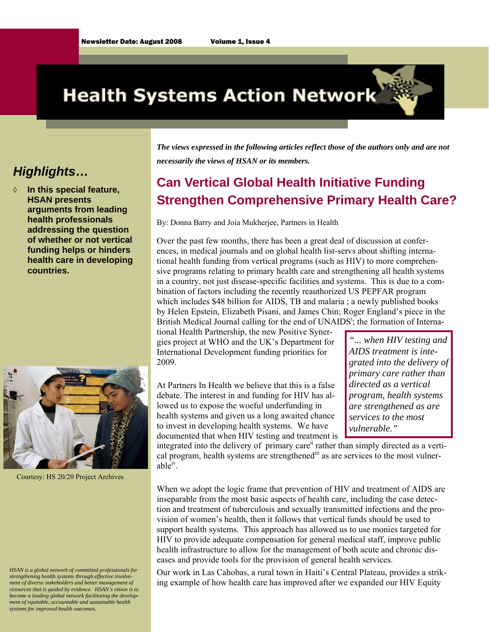# **Health Systems Action Network**

#### *Highlights***…**

In this special feature, **HSAN presents arguments from leading health professionals addressing the question of whether or not vertical funding helps or hinders health care in developing countries.** 



Courtesy: HS 20/20 Project Archives

*HSAN is a global network of committed professionals for strengthening health systems through effective involvement of diverse stakeholders and better management of resources that is guided by evidence. HSAN's vision is to become a leading global network facilitating the development of equitable, accountable and sustainable health systems for improved health outcomes.* 

*The views expressed in the following articles reflect those of the authors only and are not necessarily the views of HSAN or its members.* 

## **Can Vertical Global Health Initiative Funding Strengthen Comprehensive Primary Health Care?**

By: Donna Barry and Joia Mukherjee, Partners in Health

Over the past few months, there has been a great deal of discussion at conferences, in medical journals and on global health list-servs about shifting international health funding from vertical programs (such as HIV) to more comprehensive programs relating to primary health care and strengthening all health systems in a country, not just disease-specific facilities and systems. This is due to a combination of factors including the recently reauthorized US PEPFAR program which includes \$48 billion for AIDS, TB and malaria; a newly published books by Helen Epstein, Elizabeth Pisani, and James Chin; Roger England's piece in the British Medical Journal calling for the end of UNAIDS<sup>i</sup>; the formation of Interna-

tional Health Partnership, the new Positive Synergies project at WHO and the UK's Department for International Development funding priorities for 2009.

At Partners In Health we believe that this is a false debate. The interest in and funding for HIV has allowed us to expose the woeful underfunding in health systems and given us a long awaited chance to invest in developing health systems. We have documented that when HIV testing and treatment is

*"... when HIV testing and AIDS treatment is integrated into the delivery of primary care rather than directed as a vertical program, health systems are strengthened as are services to the most vulnerable."* 

integrated into the delivery of primary care<sup>ii</sup> rather than simply directed as a vertical program, health systems are strengthened<sup>iii</sup> as are services to the most vulner $able<sup>iv</sup>$ .

When we adopt the logic frame that prevention of HIV and treatment of AIDS are inseparable from the most basic aspects of health care, including the case detection and treatment of tuberculosis and sexually transmitted infections and the provision of women's health, then it follows that vertical funds should be used to support health systems. This approach has allowed us to use monies targeted for HIV to provide adequate compensation for general medical staff, improve public health infrastructure to allow for the management of both acute and chronic diseases and provide tools for the provision of general health services.

Our work in Las Cahobas, a rural town in Haiti's Central Plateau, provides a striking example of how health care has improved after we expanded our HIV Equity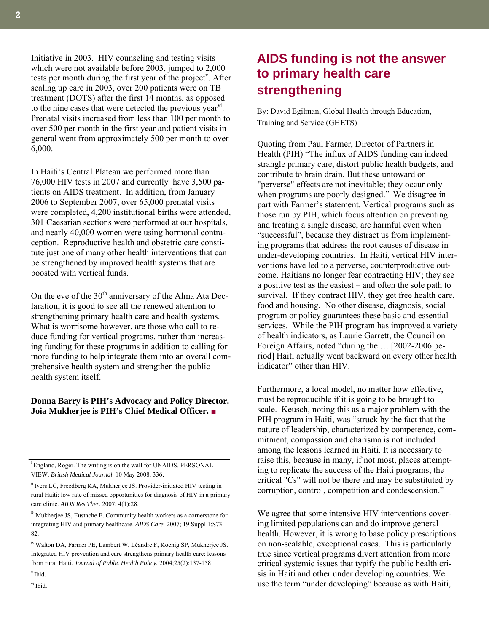Initiative in 2003. HIV counseling and testing visits which were not available before 2003, jumped to 2,000 tests per month during the first year of the project<sup>y</sup>. After scaling up care in 2003, over 200 patients were on TB treatment (DOTS) after the first 14 months, as opposed to the nine cases that were detected the previous year<sup>y</sup>. Prenatal visits increased from less than 100 per month to over 500 per month in the first year and patient visits in general went from approximately 500 per month to over 6,000.

In Haiti's Central Plateau we performed more than 76,000 HIV tests in 2007 and currently have 3,500 patients on AIDS treatment. In addition, from January 2006 to September 2007, over 65,000 prenatal visits were completed, 4,200 institutional births were attended, 301 Caesarian sections were performed at our hospitals, and nearly 40,000 women were using hormonal contraception. Reproductive health and obstetric care constitute just one of many other health interventions that can be strengthened by improved health systems that are boosted with vertical funds.

On the eve of the  $30<sup>th</sup>$  anniversary of the Alma Ata Declaration, it is good to see all the renewed attention to strengthening primary health care and health systems. What is worrisome however, are those who call to reduce funding for vertical programs, rather than increasing funding for these programs in addition to calling for more funding to help integrate them into an overall comprehensive health system and strengthen the public health system itself.

#### **Donna Barry is PIH's Advocacy and Policy Director. Joia Mukherjee is PIH's Chief Medical Officer.** ■

<sup>i</sup> England, Roger. The writing is on the wall for UNAIDS. PERSONAL VIEW. *British Medical Journal*. 10 May 2008. 336;

ii Ivers LC, Freedberg KA, Mukherjee JS. Provider-initiated HIV testing in rural Haiti: low rate of missed opportunities for diagnosis of HIV in a primary care clinic. *AIDS Res Ther*. 2007; 4(1):28.

iii Mukherjee JS, Eustache E. Community health workers as a cornerstone for integrating HIV and primary healthcare. *AIDS Care.* 2007; 19 Suppl 1:S73- 82.

### **AIDS funding is not the answer to primary health care strengthening**

By: David Egilman, Global Health through Education, Training and Service (GHETS)

Quoting from Paul Farmer, Director of Partners in Health (PIH) "The influx of AIDS funding can indeed strangle primary care, distort public health budgets, and contribute to brain drain. But these untoward or "perverse" effects are not inevitable; they occur only when programs are poorly designed." We disagree in part with Farmer's statement. Vertical programs such as those run by PIH, which focus attention on preventing and treating a single disease, are harmful even when "successful", because they distract us from implementing programs that address the root causes of disease in under-developing countries. In Haiti, vertical HIV interventions have led to a perverse, counterproductive outcome. Haitians no longer fear contracting HIV; they see a positive test as the easiest – and often the sole path to survival. If they contract HIV, they get free health care, food and housing. No other disease, diagnosis, social program or policy guarantees these basic and essential services. While the PIH program has improved a variety of health indicators, as Laurie Garrett, the Council on Foreign Affairs, noted "during the … [2002-2006 period] Haiti actually went backward on every other health indicator" other than HIV.

Furthermore, a local model, no matter how effective, must be reproducible if it is going to be brought to scale. Keusch, noting this as a major problem with the PIH program in Haiti, was "struck by the fact that the nature of leadership, characterized by competence, commitment, compassion and charisma is not included among the lessons learned in Haiti. It is necessary to raise this, because in many, if not most, places attempting to replicate the success of the Haiti programs, the critical "Cs" will not be there and may be substituted by corruption, control, competition and condescension."

We agree that some intensive HIV interventions covering limited populations can and do improve general health. However, it is wrong to base policy prescriptions on non-scalable, exceptional cases. This is particularly true since vertical programs divert attention from more critical systemic issues that typify the public health crisis in Haiti and other under developing countries. We use the term "under developing" because as with Haiti,

v Ibid. vi Ibid.

iv Walton DA, Farmer PE, Lambert W, Léandre F, Koenig SP, Mukherjee JS. Integrated HIV prevention and care strengthens primary health care: lessons from rural Haiti. *Journal of Public Health Policy.* 2004;25(2):137-158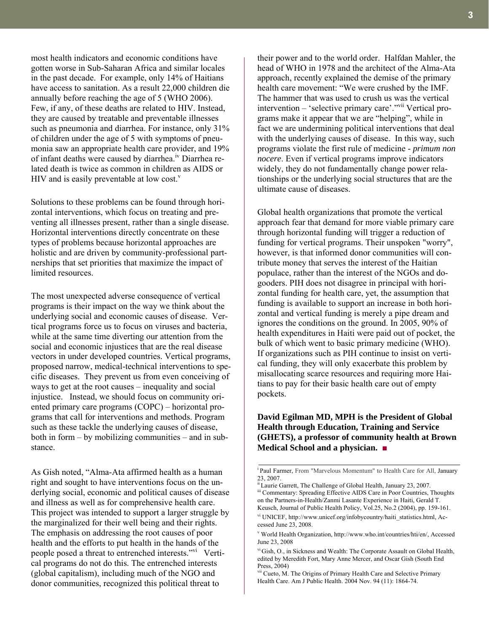most health indicators and economic conditions have gotten worse in Sub-Saharan Africa and similar locales in the past decade. For example, only 14% of Haitians have access to sanitation. As a result 22,000 children die annually before reaching the age of 5 (WHO 2006). Few, if any, of these deaths are related to HIV. Instead, they are caused by treatable and preventable illnesses such as pneumonia and diarrhea. For instance, only 31% of children under the age of 5 with symptoms of pneumonia saw an appropriate health care provider, and 19% of infant deaths were caused by diarrhea.<sup>iv</sup> Diarrhea related death is twice as common in children as AIDS or HIV and is easily preventable at low cost. $v$ 

Solutions to these problems can be found through horizontal interventions, which focus on treating and preventing all illnesses present, rather than a single disease. Horizontal interventions directly concentrate on these types of problems because horizontal approaches are holistic and are driven by community-professional partnerships that set priorities that maximize the impact of limited resources.

The most unexpected adverse consequence of vertical programs is their impact on the way we think about the underlying social and economic causes of disease. Vertical programs force us to focus on viruses and bacteria, while at the same time diverting our attention from the social and economic injustices that are the real disease vectors in under developed countries. Vertical programs, proposed narrow, medical-technical interventions to specific diseases. They prevent us from even conceiving of ways to get at the root causes – inequality and social injustice. Instead, we should focus on community oriented primary care programs (COPC) – horizontal programs that call for interventions and methods. Program such as these tackle the underlying causes of disease, both in form – by mobilizing communities – and in substance.

As Gish noted, "Alma-Ata affirmed health as a human right and sought to have interventions focus on the underlying social, economic and political causes of disease and illness as well as for comprehensive health care. This project was intended to support a larger struggle by the marginalized for their well being and their rights. The emphasis on addressing the root causes of poor health and the efforts to put health in the hands of the people posed a threat to entrenched interests."vi Vertical programs do not do this. The entrenched interests (global capitalism), including much of the NGO and donor communities, recognized this political threat to

their power and to the world order. Halfdan Mahler, the head of WHO in 1978 and the architect of the Alma-Ata approach, recently explained the demise of the primary health care movement: "We were crushed by the IMF. The hammer that was used to crush us was the vertical intervention – 'selective primary care'."vii Vertical programs make it appear that we are "helping", while in fact we are undermining political interventions that deal with the underlying causes of disease. In this way, such programs violate the first rule of medicine - *primum non nocere*. Even if vertical programs improve indicators widely, they do not fundamentally change power relationships or the underlying social structures that are the ultimate cause of diseases.

Global health organizations that promote the vertical approach fear that demand for more viable primary care through horizontal funding will trigger a reduction of funding for vertical programs. Their unspoken "worry", however, is that informed donor communities will contribute money that serves the interest of the Haitian populace, rather than the interest of the NGOs and dogooders. PIH does not disagree in principal with horizontal funding for health care, yet, the assumption that funding is available to support an increase in both horizontal and vertical funding is merely a pipe dream and ignores the conditions on the ground. In 2005, 90% of health expenditures in Haiti were paid out of pocket, the bulk of which went to basic primary medicine (WHO). If organizations such as PIH continue to insist on vertical funding, they will only exacerbate this problem by misallocating scarce resources and requiring more Haitians to pay for their basic health care out of empty pockets.

#### **David Egilman MD, MPH is the President of Global Health through Education, Training and Service (GHETS), a professor of community health at Brown Medical School and a physician.** ■

<sup>i</sup> Paul Farmer, From "Marvelous Momentum" to Health Care for All, January 23, 2007.<br><sup>ii</sup> Laurie Garrett, The Challenge of Global Health, January 23, 2007.

iii Commentary: Spreading Effective AIDS Care in Poor Countries, Thoughts on the Partners-in-Health/Zanmi Lasante Experience in Haiti, Gerald T. Keusch, Journal of Public Health Policy, Vol.25, No.2 (2004), pp. 159-161.

vi UNICEF, http://www.unicef.org/infobycountry/haiti\_statistics.html, Accessed June 23, 2008.

v World Health Organization, http://www.who.int/countries/hti/en/, Accessed June 23, 2008

vi Gish, O., in Sickness and Wealth: The Corporate Assault on Global Health, edited by Meredith Fort, Mary Anne Mercer, and Oscar Gish (South End Press, 2004)

<sup>vii</sup> Cueto, M. The Origins of Primary Health Care and Selective Primary Health Care. Am J Public Health. 2004 Nov. 94 (11): 1864-74.